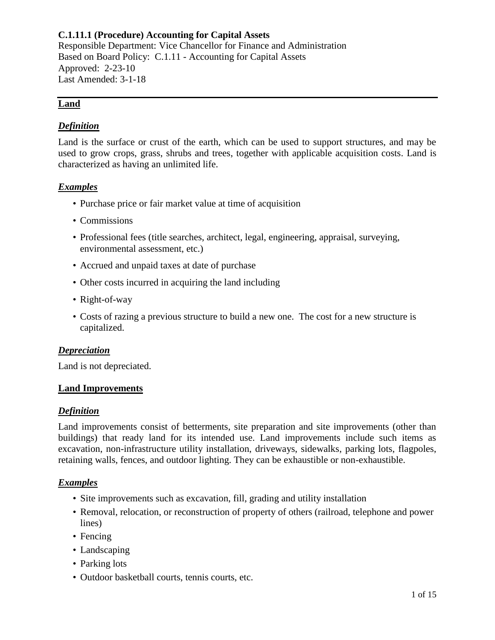## **Land**

### *Definition*

Land is the surface or crust of the earth, which can be used to support structures, and may be used to grow crops, grass, shrubs and trees, together with applicable acquisition costs. Land is characterized as having an unlimited life.

## *Examples*

- Purchase price or fair market value at time of acquisition
- Commissions
- Professional fees (title searches, architect, legal, engineering, appraisal, surveying, environmental assessment, etc.)
- Accrued and unpaid taxes at date of purchase
- Other costs incurred in acquiring the land including
- Right-of-way
- Costs of razing a previous structure to build a new one. The cost for a new structure is capitalized.

### *Depreciation*

Land is not depreciated.

### **Land Improvements**

### *Definition*

Land improvements consist of betterments, site preparation and site improvements (other than buildings) that ready land for its intended use. Land improvements include such items as excavation, non-infrastructure utility installation, driveways, sidewalks, parking lots, flagpoles, retaining walls, fences, and outdoor lighting. They can be exhaustible or non-exhaustible.

### *Examples*

- Site improvements such as excavation, fill, grading and utility installation
- Removal, relocation, or reconstruction of property of others (railroad, telephone and power lines)
- Fencing
- Landscaping
- Parking lots
- Outdoor basketball courts, tennis courts, etc.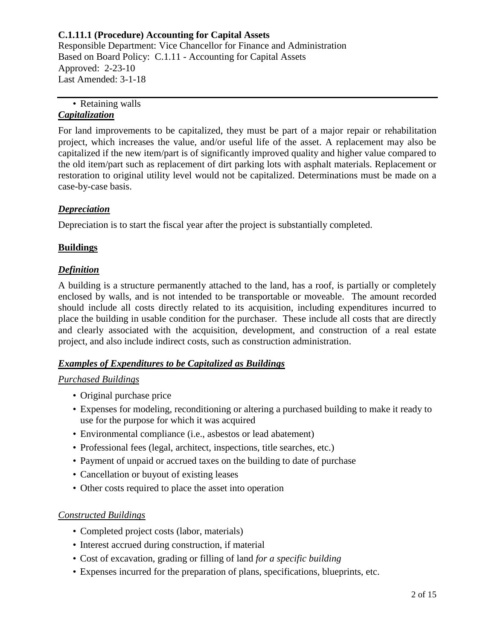### • Retaining walls *Capitalization*

For land improvements to be capitalized, they must be part of a major repair or rehabilitation project, which increases the value, and/or useful life of the asset. A replacement may also be capitalized if the new item/part is of significantly improved quality and higher value compared to the old item/part such as replacement of dirt parking lots with asphalt materials. Replacement or restoration to original utility level would not be capitalized. Determinations must be made on a case-by-case basis.

# *Depreciation*

Depreciation is to start the fiscal year after the project is substantially completed.

# **Buildings**

# *Definition*

A building is a structure permanently attached to the land, has a roof, is partially or completely enclosed by walls, and is not intended to be transportable or moveable. The amount recorded should include all costs directly related to its acquisition, including expenditures incurred to place the building in usable condition for the purchaser. These include all costs that are directly and clearly associated with the acquisition, development, and construction of a real estate project, and also include indirect costs, such as construction administration.

# *Examples of Expenditures to be Capitalized as Buildings*

# *Purchased Buildings*

- Original purchase price
- Expenses for modeling, reconditioning or altering a purchased building to make it ready to use for the purpose for which it was acquired
- Environmental compliance (i.e., asbestos or lead abatement)
- Professional fees (legal, architect, inspections, title searches, etc.)
- Payment of unpaid or accrued taxes on the building to date of purchase
- Cancellation or buyout of existing leases
- Other costs required to place the asset into operation

# *Constructed Buildings*

- Completed project costs (labor, materials)
- Interest accrued during construction, if material
- Cost of excavation, grading or filling of land *for a specific building*
- Expenses incurred for the preparation of plans, specifications, blueprints, etc.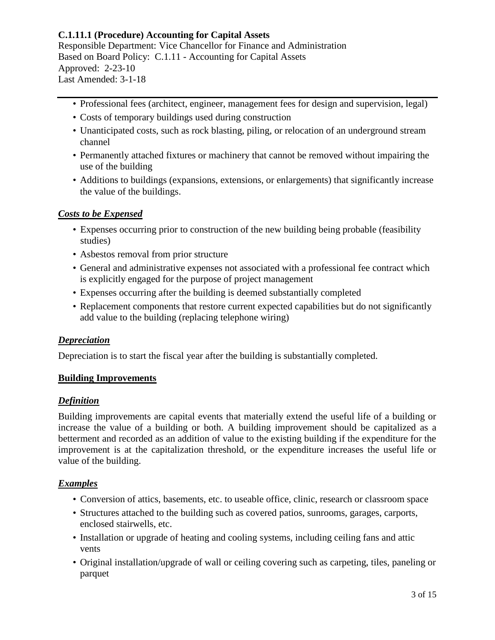- Professional fees (architect, engineer, management fees for design and supervision, legal)
- Costs of temporary buildings used during construction
- Unanticipated costs, such as rock blasting, piling, or relocation of an underground stream channel
- Permanently attached fixtures or machinery that cannot be removed without impairing the use of the building
- Additions to buildings (expansions, extensions, or enlargements) that significantly increase the value of the buildings.

### *Costs to be Expensed*

- Expenses occurring prior to construction of the new building being probable (feasibility studies)
- Asbestos removal from prior structure
- General and administrative expenses not associated with a professional fee contract which is explicitly engaged for the purpose of project management
- Expenses occurring after the building is deemed substantially completed
- Replacement components that restore current expected capabilities but do not significantly add value to the building (replacing telephone wiring)

### *Depreciation*

Depreciation is to start the fiscal year after the building is substantially completed.

### **Building Improvements**

## *Definition*

Building improvements are capital events that materially extend the useful life of a building or increase the value of a building or both. A building improvement should be capitalized as a betterment and recorded as an addition of value to the existing building if the expenditure for the improvement is at the capitalization threshold, or the expenditure increases the useful life or value of the building.

### *Examples*

- Conversion of attics, basements, etc. to useable office, clinic, research or classroom space
- Structures attached to the building such as covered patios, sunrooms, garages, carports, enclosed stairwells, etc.
- Installation or upgrade of heating and cooling systems, including ceiling fans and attic vents
- Original installation/upgrade of wall or ceiling covering such as carpeting, tiles, paneling or parquet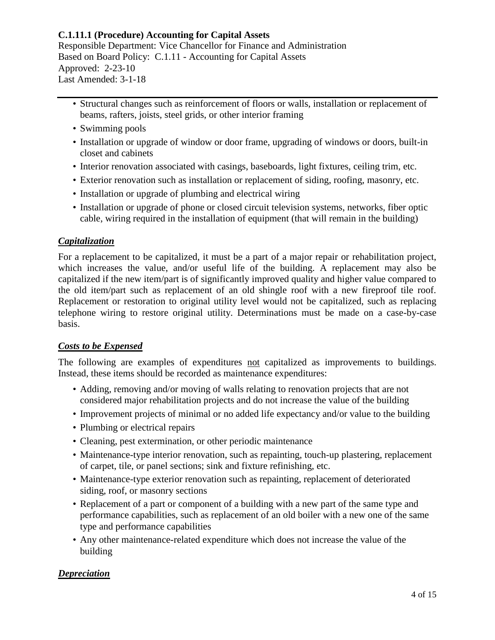- Structural changes such as reinforcement of floors or walls, installation or replacement of beams, rafters, joists, steel grids, or other interior framing
- Swimming pools
- Installation or upgrade of window or door frame, upgrading of windows or doors, built-in closet and cabinets
- Interior renovation associated with casings, baseboards, light fixtures, ceiling trim, etc.
- Exterior renovation such as installation or replacement of siding, roofing, masonry, etc.
- Installation or upgrade of plumbing and electrical wiring
- Installation or upgrade of phone or closed circuit television systems, networks, fiber optic cable, wiring required in the installation of equipment (that will remain in the building)

### *Capitalization*

For a replacement to be capitalized, it must be a part of a major repair or rehabilitation project, which increases the value, and/or useful life of the building. A replacement may also be capitalized if the new item/part is of significantly improved quality and higher value compared to the old item/part such as replacement of an old shingle roof with a new fireproof tile roof. Replacement or restoration to original utility level would not be capitalized, such as replacing telephone wiring to restore original utility. Determinations must be made on a case-by-case basis.

### *Costs to be Expensed*

The following are examples of expenditures not capitalized as improvements to buildings. Instead, these items should be recorded as maintenance expenditures:

- Adding, removing and/or moving of walls relating to renovation projects that are not considered major rehabilitation projects and do not increase the value of the building
- Improvement projects of minimal or no added life expectancy and/or value to the building
- Plumbing or electrical repairs
- Cleaning, pest extermination, or other periodic maintenance
- Maintenance-type interior renovation, such as repainting, touch-up plastering, replacement of carpet, tile, or panel sections; sink and fixture refinishing, etc.
- Maintenance-type exterior renovation such as repainting, replacement of deteriorated siding, roof, or masonry sections
- Replacement of a part or component of a building with a new part of the same type and performance capabilities, such as replacement of an old boiler with a new one of the same type and performance capabilities
- Any other maintenance-related expenditure which does not increase the value of the building

### *Depreciation*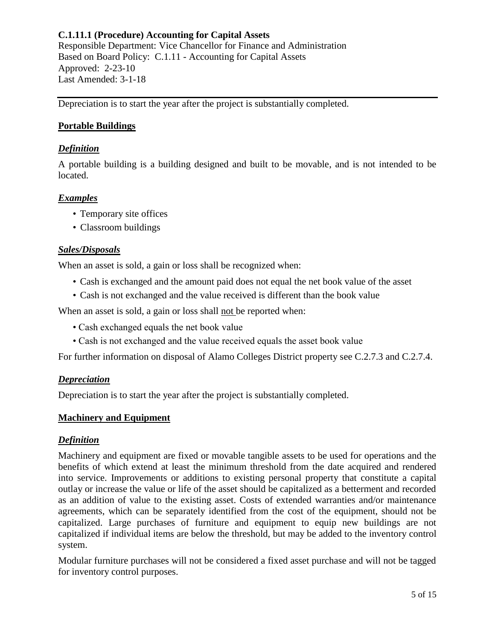Responsible Department: Vice Chancellor for Finance and Administration Based on Board Policy: [C.1.11](http://wcmsstg.alamo.edu/uploadedFiles/District/Employees/Departments/Ethics/pdf/policies/C.1.11-Policy.pdf) - Accounting for Capital Assets Approved: 2-23-10 Last Amended: 3-1-18

Depreciation is to start the year after the project is substantially completed.

### **Portable Buildings**

### *Definition*

A portable building is a building designed and built to be movable, and is not intended to be located.

### *Examples*

- Temporary site offices
- Classroom buildings

#### *Sales/Disposals*

When an asset is sold, a gain or loss shall be recognized when:

- Cash is exchanged and the amount paid does not equal the net book value of the asset
- Cash is not exchanged and the value received is different than the book value

When an asset is sold, a gain or loss shall not be reported when:

- Cash exchanged equals the net book value
- Cash is not exchanged and the value received equals the asset book value

For further information on disposal of Alamo Colleges District property see [C.2.7.3](http://wcmsstg.alamo.edu/uploadedFiles/District/Employees/Departments/Ethics/pdf/policies/C.2.7.3-Procedure.pdf) and [C.2.7.4.](http://wcmsstg.alamo.edu/uploadedFiles/District/Employees/Departments/Ethics/pdf/policies/C.2.7.4-Procedure.pdf)

#### *Depreciation*

Depreciation is to start the year after the project is substantially completed.

#### **Machinery and Equipment**

#### *Definition*

Machinery and equipment are fixed or movable tangible assets to be used for operations and the benefits of which extend at least the minimum threshold from the date acquired and rendered into service. Improvements or additions to existing personal property that constitute a capital outlay or increase the value or life of the asset should be capitalized as a betterment and recorded as an addition of value to the existing asset. Costs of extended warranties and/or maintenance agreements, which can be separately identified from the cost of the equipment, should not be capitalized. Large purchases of furniture and equipment to equip new buildings are not capitalized if individual items are below the threshold, but may be added to the inventory control system.

Modular furniture purchases will not be considered a fixed asset purchase and will not be tagged for inventory control purposes.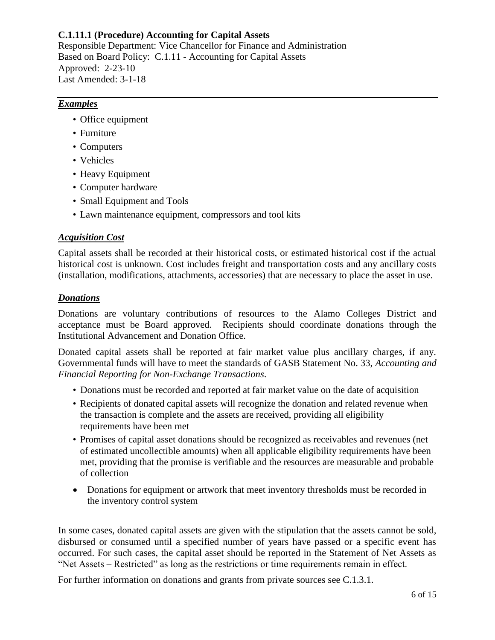Responsible Department: Vice Chancellor for Finance and Administration Based on Board Policy: [C.1.11](http://wcmsstg.alamo.edu/uploadedFiles/District/Employees/Departments/Ethics/pdf/policies/C.1.11-Policy.pdf) - Accounting for Capital Assets Approved: 2-23-10 Last Amended: 3-1-18

## *Examples*

- Office equipment
- Furniture
- Computers
- Vehicles
- Heavy Equipment
- Computer hardware
- Small Equipment and Tools
- Lawn maintenance equipment, compressors and tool kits

### *Acquisition Cost*

Capital assets shall be recorded at their historical costs, or estimated historical cost if the actual historical cost is unknown. Cost includes freight and transportation costs and any ancillary costs (installation, modifications, attachments, accessories) that are necessary to place the asset in use.

### *Donations*

Donations are voluntary contributions of resources to the Alamo Colleges District and acceptance must be Board approved. Recipients should coordinate donations through the Institutional Advancement and Donation Office.

Donated capital assets shall be reported at fair market value plus ancillary charges, if any. Governmental funds will have to meet the standards of GASB Statement No. 33, *Accounting and Financial Reporting for Non-Exchange Transactions*.

- Donations must be recorded and reported at fair market value on the date of acquisition
- Recipients of donated capital assets will recognize the donation and related revenue when the transaction is complete and the assets are received, providing all eligibility requirements have been met
- Promises of capital asset donations should be recognized as receivables and revenues (net of estimated uncollectible amounts) when all applicable eligibility requirements have been met, providing that the promise is verifiable and the resources are measurable and probable of collection
- Donations for equipment or artwork that meet inventory thresholds must be recorded in the inventory control system

In some cases, donated capital assets are given with the stipulation that the assets cannot be sold, disbursed or consumed until a specified number of years have passed or a specific event has occurred. For such cases, the capital asset should be reported in the Statement of Net Assets as "Net Assets – Restricted" as long as the restrictions or time requirements remain in effect.

For further information on donations and grants from private sources see [C.1.3.1.](http://wcmsstg.alamo.edu/uploadedFiles/District/Employees/Departments/Ethics/pdf/policies/C.1.3.1-Procedure.pdf)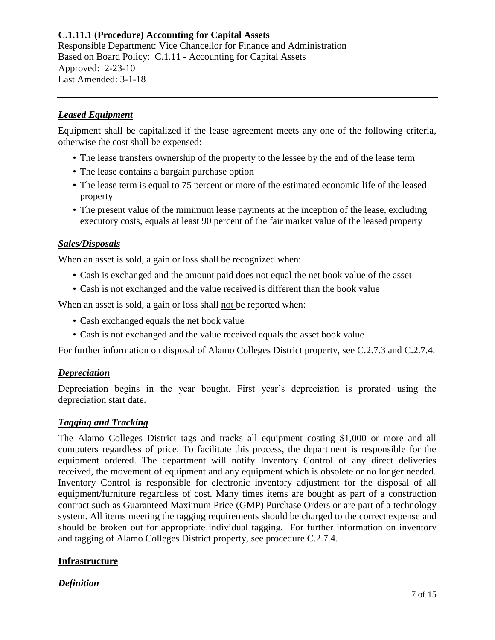## *Leased Equipment*

Equipment shall be capitalized if the lease agreement meets any one of the following criteria, otherwise the cost shall be expensed:

- The lease transfers ownership of the property to the lessee by the end of the lease term
- The lease contains a bargain purchase option
- The lease term is equal to 75 percent or more of the estimated economic life of the leased property
- The present value of the minimum lease payments at the inception of the lease, excluding executory costs, equals at least 90 percent of the fair market value of the leased property

### *Sales/Disposals*

When an asset is sold, a gain or loss shall be recognized when:

- Cash is exchanged and the amount paid does not equal the net book value of the asset
- Cash is not exchanged and the value received is different than the book value

When an asset is sold, a gain or loss shall not be reported when:

- Cash exchanged equals the net book value
- Cash is not exchanged and the value received equals the asset book value

For further information on disposal of Alamo Colleges District property, see [C.2.7.3](http://wcmsstg.alamo.edu/uploadedFiles/District/Employees/Departments/Ethics/pdf/policies/C.2.7.3-Procedure.pdf) and [C.2.7.4.](http://wcmsstg.alamo.edu/uploadedFiles/District/Employees/Departments/Ethics/pdf/policies/C.2.7.4-Procedure.pdf)

### *Depreciation*

Depreciation begins in the year bought. First year's depreciation is prorated using the depreciation start date.

### *Tagging and Tracking*

The Alamo Colleges District tags and tracks all equipment costing \$1,000 or more and all computers regardless of price. To facilitate this process, the department is responsible for the equipment ordered. The department will notify Inventory Control of any direct deliveries received, the movement of equipment and any equipment which is obsolete or no longer needed. Inventory Control is responsible for electronic inventory adjustment for the disposal of all equipment/furniture regardless of cost. Many times items are bought as part of a construction contract such as Guaranteed Maximum Price (GMP) Purchase Orders or are part of a technology system. All items meeting the tagging requirements should be charged to the correct expense and should be broken out for appropriate individual tagging. For further information on inventory and tagging of Alamo Colleges District property, see procedure [C.2.7.4.](http://wcmsstg.alamo.edu/uploadedFiles/District/Employees/Departments/Ethics/pdf/policies/C.2.7.4-Procedure.pdf)

# **Infrastructure**

# *Definition*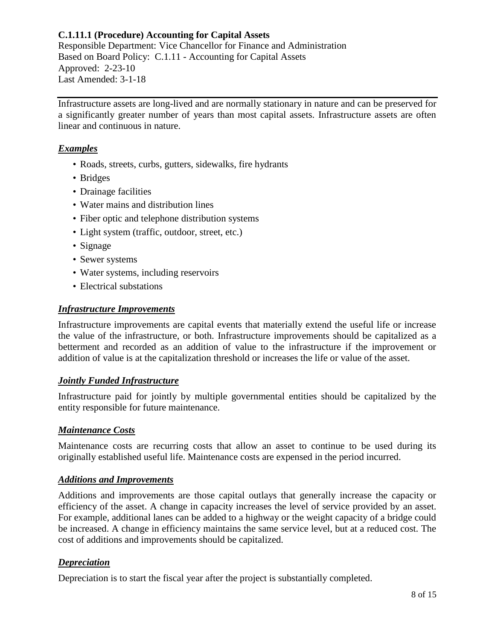## **C.1.11.1 (Procedure) Accounting for Capital Assets** Responsible Department: Vice Chancellor for Finance and Administration

Based on Board Policy: [C.1.11](http://wcmsstg.alamo.edu/uploadedFiles/District/Employees/Departments/Ethics/pdf/policies/C.1.11-Policy.pdf) - Accounting for Capital Assets Approved: 2-23-10 Last Amended: 3-1-18

Infrastructure assets are long-lived and are normally stationary in nature and can be preserved for a significantly greater number of years than most capital assets. Infrastructure assets are often linear and continuous in nature.

# *Examples*

- Roads, streets, curbs, gutters, sidewalks, fire hydrants
- Bridges
- Drainage facilities
- Water mains and distribution lines
- Fiber optic and telephone distribution systems
- Light system (traffic, outdoor, street, etc.)
- Signage
- Sewer systems
- Water systems, including reservoirs
- Electrical substations

# *Infrastructure Improvements*

Infrastructure improvements are capital events that materially extend the useful life or increase the value of the infrastructure, or both. Infrastructure improvements should be capitalized as a betterment and recorded as an addition of value to the infrastructure if the improvement or addition of value is at the capitalization threshold or increases the life or value of the asset.

# *Jointly Funded Infrastructure*

Infrastructure paid for jointly by multiple governmental entities should be capitalized by the entity responsible for future maintenance.

# *Maintenance Costs*

Maintenance costs are recurring costs that allow an asset to continue to be used during its originally established useful life. Maintenance costs are expensed in the period incurred.

# *Additions and Improvements*

Additions and improvements are those capital outlays that generally increase the capacity or efficiency of the asset. A change in capacity increases the level of service provided by an asset. For example, additional lanes can be added to a highway or the weight capacity of a bridge could be increased. A change in efficiency maintains the same service level, but at a reduced cost. The cost of additions and improvements should be capitalized.

# *Depreciation*

Depreciation is to start the fiscal year after the project is substantially completed.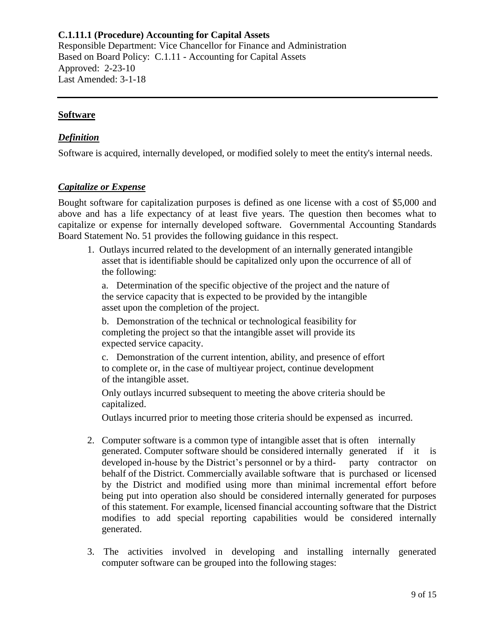#### **Software**

### *Definition*

Software is acquired, internally developed, or modified solely to meet the entity's internal needs.

### *Capitalize or Expense*

Bought software for capitalization purposes is defined as one license with a cost of \$5,000 and above and has a life expectancy of at least five years. The question then becomes what to capitalize or expense for internally developed software. Governmental Accounting Standards Board Statement No. 51 provides the following guidance in this respect.

1. Outlays incurred related to the development of an internally generated intangible asset that is identifiable should be capitalized only upon the occurrence of all of the following:

a. Determination of the specific objective of the project and the nature of the service capacity that is expected to be provided by the intangible asset upon the completion of the project.

b. Demonstration of the technical or technological feasibility for completing the project so that the intangible asset will provide its expected service capacity.

c. Demonstration of the current intention, ability, and presence of effort to complete or, in the case of multiyear project, continue development of the intangible asset.

Only outlays incurred subsequent to meeting the above criteria should be capitalized.

Outlays incurred prior to meeting those criteria should be expensed as incurred.

- 2. Computer software is a common type of intangible asset that is often internally generated. Computer software should be considered internally generated if it is developed in-house by the District's personnel or by a third- party contractor on behalf of the District. Commercially available software that is purchased or licensed by the District and modified using more than minimal incremental effort before being put into operation also should be considered internally generated for purposes of this statement. For example, licensed financial accounting software that the District modifies to add special reporting capabilities would be considered internally generated.
- 3. The activities involved in developing and installing internally generated computer software can be grouped into the following stages: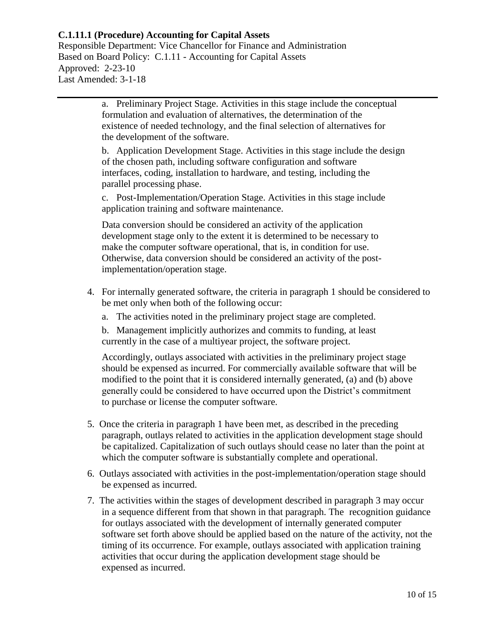Responsible Department: Vice Chancellor for Finance and Administration Based on Board Policy: [C.1.11](http://wcmsstg.alamo.edu/uploadedFiles/District/Employees/Departments/Ethics/pdf/policies/C.1.11-Policy.pdf) - Accounting for Capital Assets Approved: 2-23-10 Last Amended: 3-1-18

> a. Preliminary Project Stage. Activities in this stage include the conceptual formulation and evaluation of alternatives, the determination of the existence of needed technology, and the final selection of alternatives for the development of the software.

b. Application Development Stage. Activities in this stage include the design of the chosen path, including software configuration and software interfaces, coding, installation to hardware, and testing, including the parallel processing phase.

c. Post-Implementation/Operation Stage. Activities in this stage include application training and software maintenance.

Data conversion should be considered an activity of the application development stage only to the extent it is determined to be necessary to make the computer software operational, that is, in condition for use. Otherwise, data conversion should be considered an activity of the postimplementation/operation stage.

- 4. For internally generated software, the criteria in paragraph 1 should be considered to be met only when both of the following occur:
	- a. The activities noted in the preliminary project stage are completed.

b. Management implicitly authorizes and commits to funding, at least currently in the case of a multiyear project, the software project.

Accordingly, outlays associated with activities in the preliminary project stage should be expensed as incurred. For commercially available software that will be modified to the point that it is considered internally generated, (a) and (b) above generally could be considered to have occurred upon the District's commitment to purchase or license the computer software.

- 5. Once the criteria in paragraph 1 have been met, as described in the preceding paragraph, outlays related to activities in the application development stage should be capitalized. Capitalization of such outlays should cease no later than the point at which the computer software is substantially complete and operational.
- 6. Outlays associated with activities in the post-implementation/operation stage should be expensed as incurred.
- 7. The activities within the stages of development described in paragraph 3 may occur in a sequence different from that shown in that paragraph. The recognition guidance for outlays associated with the development of internally generated computer software set forth above should be applied based on the nature of the activity, not the timing of its occurrence. For example, outlays associated with application training activities that occur during the application development stage should be expensed as incurred.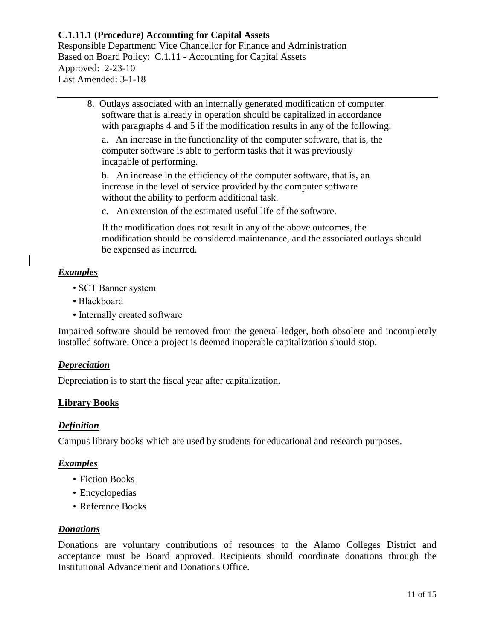Responsible Department: Vice Chancellor for Finance and Administration Based on Board Policy: [C.1.11](http://wcmsstg.alamo.edu/uploadedFiles/District/Employees/Departments/Ethics/pdf/policies/C.1.11-Policy.pdf) - Accounting for Capital Assets Approved: 2-23-10 Last Amended: 3-1-18

8. Outlays associated with an internally generated modification of computer software that is already in operation should be capitalized in accordance with paragraphs 4 and 5 if the modification results in any of the following:

a. An increase in the functionality of the computer software, that is, the computer software is able to perform tasks that it was previously incapable of performing.

b. An increase in the efficiency of the computer software, that is, an increase in the level of service provided by the computer software without the ability to perform additional task.

c. An extension of the estimated useful life of the software.

If the modification does not result in any of the above outcomes, the modification should be considered maintenance, and the associated outlays should be expensed as incurred.

## *Examples*

- SCT Banner system
- Blackboard
- Internally created software

Impaired software should be removed from the general ledger, both obsolete and incompletely installed software. Once a project is deemed inoperable capitalization should stop.

#### *Depreciation*

Depreciation is to start the fiscal year after capitalization.

### **Library Books**

#### *Definition*

Campus library books which are used by students for educational and research purposes.

#### *Examples*

- Fiction Books
- Encyclopedias
- Reference Books

#### *Donations*

Donations are voluntary contributions of resources to the Alamo Colleges District and acceptance must be Board approved. Recipients should coordinate donations through the Institutional Advancement and Donations Office.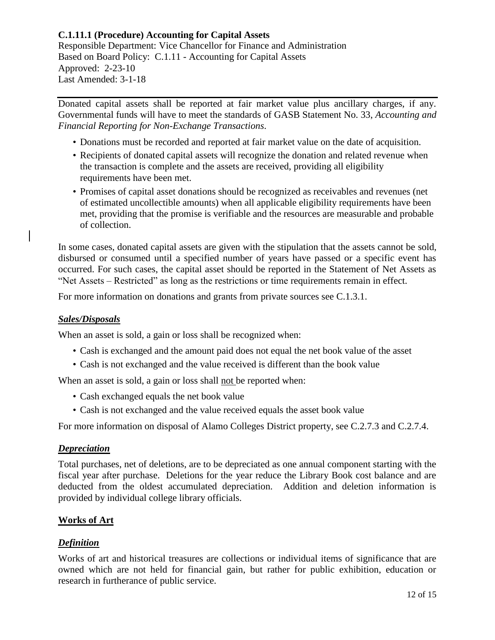Donated capital assets shall be reported at fair market value plus ancillary charges, if any. Governmental funds will have to meet the standards of GASB Statement No. 33, *Accounting and Financial Reporting for Non-Exchange Transactions*.

- Donations must be recorded and reported at fair market value on the date of acquisition.
- Recipients of donated capital assets will recognize the donation and related revenue when the transaction is complete and the assets are received, providing all eligibility requirements have been met.
- Promises of capital asset donations should be recognized as receivables and revenues (net of estimated uncollectible amounts) when all applicable eligibility requirements have been met, providing that the promise is verifiable and the resources are measurable and probable of collection.

In some cases, donated capital assets are given with the stipulation that the assets cannot be sold, disbursed or consumed until a specified number of years have passed or a specific event has occurred. For such cases, the capital asset should be reported in the Statement of Net Assets as "Net Assets – Restricted" as long as the restrictions or time requirements remain in effect.

For more information on donations and grants from private sources see [C.1.3.1.](http://wcmsstg.alamo.edu/uploadedFiles/District/Employees/Departments/Ethics/pdf/policies/C.1.3.1-Procedure.pdf)

### *Sales/Disposals*

When an asset is sold, a gain or loss shall be recognized when:

- Cash is exchanged and the amount paid does not equal the net book value of the asset
- Cash is not exchanged and the value received is different than the book value

When an asset is sold, a gain or loss shall not be reported when:

- Cash exchanged equals the net book value
- Cash is not exchanged and the value received equals the asset book value

For more information on disposal of Alamo Colleges District property, see [C.2.7.3](http://wcmsstg.alamo.edu/uploadedFiles/District/Employees/Departments/Ethics/pdf/policies/C.2.7.3-Procedure.pdf) and [C.2.7.4.](http://wcmsstg.alamo.edu/uploadedFiles/District/Employees/Departments/Ethics/pdf/policies/C.2.7.4-Procedure.pdf)

#### *Depreciation*

Total purchases, net of deletions, are to be depreciated as one annual component starting with the fiscal year after purchase. Deletions for the year reduce the Library Book cost balance and are deducted from the oldest accumulated depreciation. Addition and deletion information is provided by individual college library officials.

### **Works of Art**

### *Definition*

Works of art and historical treasures are collections or individual items of significance that are owned which are not held for financial gain, but rather for public exhibition, education or research in furtherance of public service.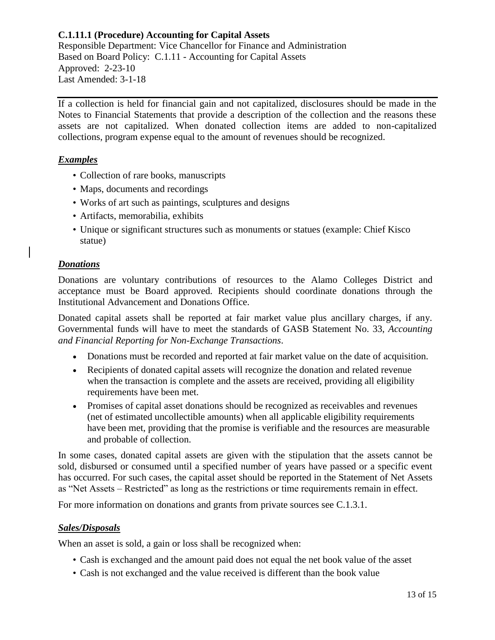If a collection is held for financial gain and not capitalized, disclosures should be made in the Notes to Financial Statements that provide a description of the collection and the reasons these assets are not capitalized. When donated collection items are added to non-capitalized collections, program expense equal to the amount of revenues should be recognized.

## *Examples*

- Collection of rare books, manuscripts
- Maps, documents and recordings
- Works of art such as paintings, sculptures and designs
- Artifacts, memorabilia, exhibits
- Unique or significant structures such as monuments or statues (example: Chief Kisco statue)

### *Donations*

Donations are voluntary contributions of resources to the Alamo Colleges District and acceptance must be Board approved. Recipients should coordinate donations through the Institutional Advancement and Donations Office.

Donated capital assets shall be reported at fair market value plus ancillary charges, if any. Governmental funds will have to meet the standards of GASB Statement No. 33, *Accounting and Financial Reporting for Non-Exchange Transactions*.

- Donations must be recorded and reported at fair market value on the date of acquisition.
- Recipients of donated capital assets will recognize the donation and related revenue when the transaction is complete and the assets are received, providing all eligibility requirements have been met.
- Promises of capital asset donations should be recognized as receivables and revenues (net of estimated uncollectible amounts) when all applicable eligibility requirements have been met, providing that the promise is verifiable and the resources are measurable and probable of collection.

In some cases, donated capital assets are given with the stipulation that the assets cannot be sold, disbursed or consumed until a specified number of years have passed or a specific event has occurred. For such cases, the capital asset should be reported in the Statement of Net Assets as "Net Assets – Restricted" as long as the restrictions or time requirements remain in effect.

For more information on donations and grants from private sources see [C.1.3.1.](http://wcmsstg.alamo.edu/uploadedFiles/District/Employees/Departments/Ethics/pdf/policies/C.1.3.1-Procedure.pdf)

### *Sales/Disposals*

When an asset is sold, a gain or loss shall be recognized when:

- Cash is exchanged and the amount paid does not equal the net book value of the asset
- Cash is not exchanged and the value received is different than the book value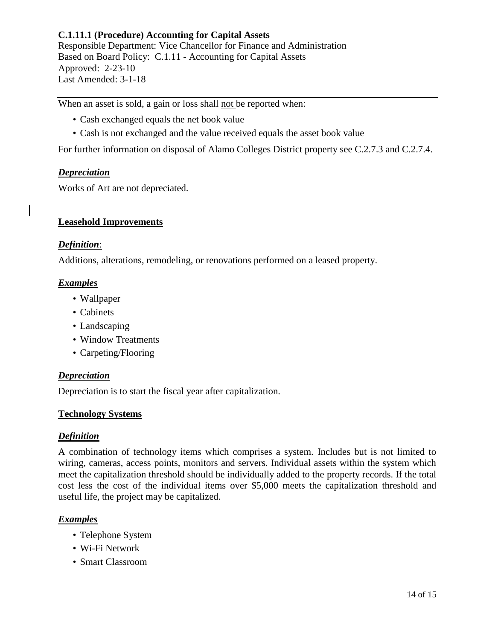When an asset is sold, a gain or loss shall not be reported when:

- Cash exchanged equals the net book value
- Cash is not exchanged and the value received equals the asset book value

For further information on disposal of Alamo Colleges District property see [C.2.7.3](http://wcmsstg.alamo.edu/uploadedFiles/District/Employees/Departments/Ethics/pdf/policies/C.2.7.3-Procedure.pdf) and [C.2.7.4.](http://wcmsstg.alamo.edu/uploadedFiles/District/Employees/Departments/Ethics/pdf/policies/C.2.7.4-Procedure.pdf)

### *Depreciation*

Works of Art are not depreciated.

### **Leasehold Improvements**

#### *Definition*:

[Additions,](http://www.businessdictionary.com/definition/addition.html) [alterations,](http://www.businessdictionary.com/definition/alterations.html) remodeling, or renovations performed on a leased [property.](http://www.businessdictionary.com/definition/property.html)

#### *Examples*

- Wallpaper
- Cabinets
- Landscaping
- Window Treatments
- Carpeting/Flooring

#### *Depreciation*

Depreciation is to start the fiscal year after capitalization.

#### **Technology Systems**

#### *Definition*

A combination of technology items which comprises a system. Includes but is not limited to wiring, cameras, access points, monitors and servers. Individual assets within the system which meet the capitalization threshold should be individually added to the property records. If the total cost less the cost of the individual items over \$5,000 meets the capitalization threshold and useful life, the project may be capitalized.

### *Examples*

- Telephone System
- Wi-Fi Network
- Smart Classroom